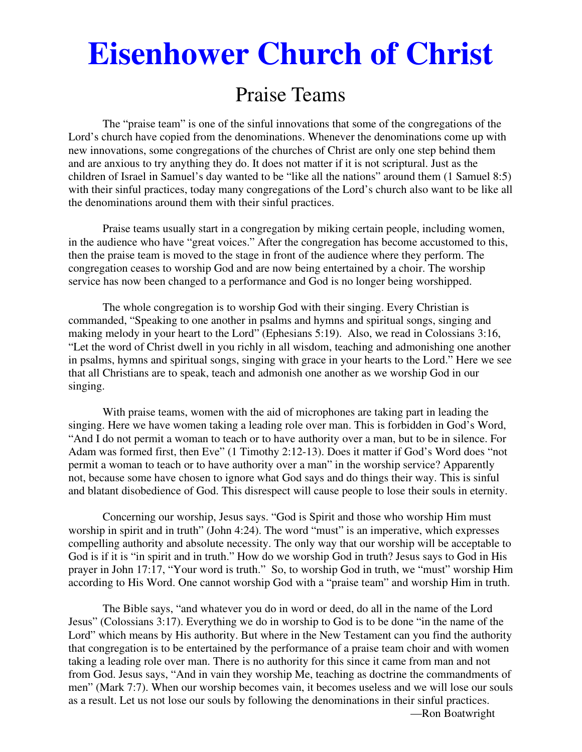# **Eisenhower Church of Christ**

# Praise Teams

The "praise team" is one of the sinful innovations that some of the congregations of the Lord's church have copied from the denominations. Whenever the denominations come up with new innovations, some congregations of the churches of Christ are only one step behind them and are anxious to try anything they do. It does not matter if it is not scriptural. Just as the children of Israel in Samuel's day wanted to be "like all the nations" around them (1 Samuel 8:5) with their sinful practices, today many congregations of the Lord's church also want to be like all the denominations around them with their sinful practices.

 Praise teams usually start in a congregation by miking certain people, including women, in the audience who have "great voices." After the congregation has become accustomed to this, then the praise team is moved to the stage in front of the audience where they perform. The congregation ceases to worship God and are now being entertained by a choir. The worship service has now been changed to a performance and God is no longer being worshipped.

 The whole congregation is to worship God with their singing. Every Christian is commanded, "Speaking to one another in psalms and hymns and spiritual songs, singing and making melody in your heart to the Lord" (Ephesians 5:19). Also, we read in Colossians 3:16, "Let the word of Christ dwell in you richly in all wisdom, teaching and admonishing one another in psalms, hymns and spiritual songs, singing with grace in your hearts to the Lord." Here we see that all Christians are to speak, teach and admonish one another as we worship God in our singing.

 With praise teams, women with the aid of microphones are taking part in leading the singing. Here we have women taking a leading role over man. This is forbidden in God's Word, "And I do not permit a woman to teach or to have authority over a man, but to be in silence. For Adam was formed first, then Eve" (1 Timothy 2:12-13). Does it matter if God's Word does "not permit a woman to teach or to have authority over a man" in the worship service? Apparently not, because some have chosen to ignore what God says and do things their way. This is sinful and blatant disobedience of God. This disrespect will cause people to lose their souls in eternity.

 Concerning our worship, Jesus says. "God is Spirit and those who worship Him must worship in spirit and in truth" (John 4:24). The word "must" is an imperative, which expresses compelling authority and absolute necessity. The only way that our worship will be acceptable to God is if it is "in spirit and in truth." How do we worship God in truth? Jesus says to God in His prayer in John 17:17, "Your word is truth." So, to worship God in truth, we "must" worship Him according to His Word. One cannot worship God with a "praise team" and worship Him in truth.

 The Bible says, "and whatever you do in word or deed, do all in the name of the Lord Jesus" (Colossians 3:17). Everything we do in worship to God is to be done "in the name of the Lord" which means by His authority. But where in the New Testament can you find the authority that congregation is to be entertained by the performance of a praise team choir and with women taking a leading role over man. There is no authority for this since it came from man and not from God. Jesus says, "And in vain they worship Me, teaching as doctrine the commandments of men" (Mark 7:7). When our worship becomes vain, it becomes useless and we will lose our souls as a result. Let us not lose our souls by following the denominations in their sinful practices. —Ron Boatwright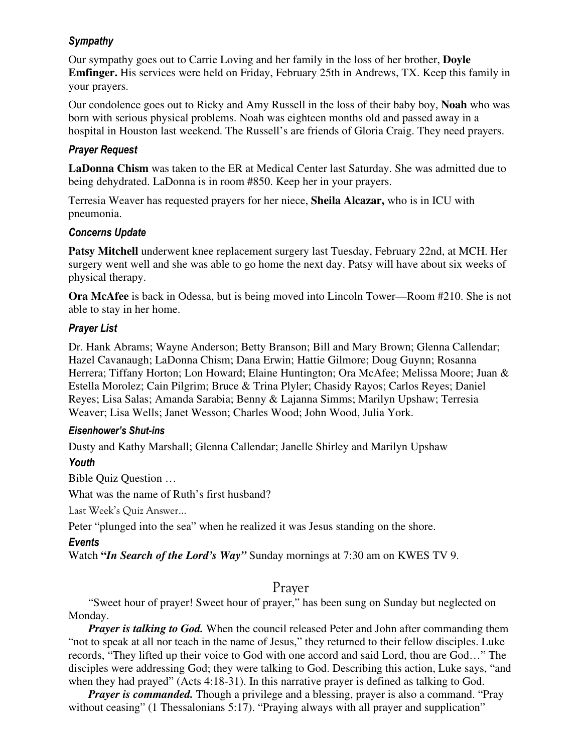#### *Sympathy*

Our sympathy goes out to Carrie Loving and her family in the loss of her brother, **Doyle Emfinger.** His services were held on Friday, February 25th in Andrews, TX. Keep this family in your prayers.

Our condolence goes out to Ricky and Amy Russell in the loss of their baby boy, **Noah** who was born with serious physical problems. Noah was eighteen months old and passed away in a hospital in Houston last weekend. The Russell's are friends of Gloria Craig. They need prayers.

#### *Prayer Request*

**LaDonna Chism** was taken to the ER at Medical Center last Saturday. She was admitted due to being dehydrated. LaDonna is in room #850. Keep her in your prayers.

Terresia Weaver has requested prayers for her niece, **Sheila Alcazar,** who is in ICU with pneumonia.

#### *Concerns Update*

**Patsy Mitchell** underwent knee replacement surgery last Tuesday, February 22nd, at MCH. Her surgery went well and she was able to go home the next day. Patsy will have about six weeks of physical therapy.

**Ora McAfee** is back in Odessa, but is being moved into Lincoln Tower—Room #210. She is not able to stay in her home.

#### *Prayer List*

Dr. Hank Abrams; Wayne Anderson; Betty Branson; Bill and Mary Brown; Glenna Callendar; Hazel Cavanaugh; LaDonna Chism; Dana Erwin; Hattie Gilmore; Doug Guynn; Rosanna Herrera; Tiffany Horton; Lon Howard; Elaine Huntington; Ora McAfee; Melissa Moore; Juan & Estella Morolez; Cain Pilgrim; Bruce & Trina Plyler; Chasidy Rayos; Carlos Reyes; Daniel Reyes; Lisa Salas; Amanda Sarabia; Benny & Lajanna Simms; Marilyn Upshaw; Terresia Weaver; Lisa Wells; Janet Wesson; Charles Wood; John Wood, Julia York.

#### *Eisenhower's Shut-ins*

Dusty and Kathy Marshall; Glenna Callendar; Janelle Shirley and Marilyn Upshaw

## *Youth*

Bible Quiz Question …

What was the name of Ruth's first husband?

Last Week's Quiz Answer…

Peter "plunged into the sea" when he realized it was Jesus standing on the shore.

## *Events*

Watch **"***In Search of the Lord's Way"* Sunday mornings at 7:30 am on KWES TV 9.

# Prayer

 "Sweet hour of prayer! Sweet hour of prayer," has been sung on Sunday but neglected on Monday.

*Prayer is talking to God.* When the council released Peter and John after commanding them "not to speak at all nor teach in the name of Jesus," they returned to their fellow disciples. Luke records, "They lifted up their voice to God with one accord and said Lord, thou are God…" The disciples were addressing God; they were talking to God. Describing this action, Luke says, "and when they had prayed" (Acts 4:18-31). In this narrative prayer is defined as talking to God.

*Prayer is commanded.* Though a privilege and a blessing, prayer is also a command. "Pray without ceasing" (1 Thessalonians 5:17). "Praying always with all prayer and supplication"